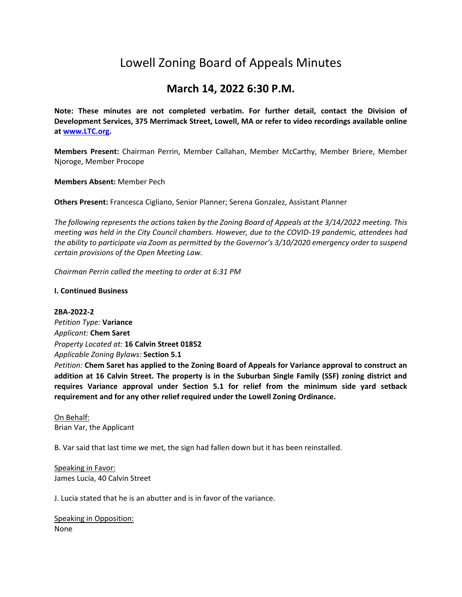# Lowell Zoning Board of Appeals Minutes

# **March 14, 2022 6:30 P.M.**

**Note: These minutes are not completed verbatim. For further detail, contact the Division of Development Services, 375 Merrimack Street, Lowell, MA or refer to video recordings available online a[t www.LTC.org.](http://www.ltc.org/)**

**Members Present:** Chairman Perrin, Member Callahan, Member McCarthy, Member Briere, Member Njoroge, Member Procope

**Members Absent:** Member Pech

**Others Present:** Francesca Cigliano, Senior Planner; Serena Gonzalez, Assistant Planner

*The following represents the actions taken by the Zoning Board of Appeals at the 3/14/2022 meeting. This meeting was held in the City Council chambers. However, due to the COVID-19 pandemic, attendees had the ability to participate via Zoom as permitted by the Governor's 3/10/2020 emergency order to suspend certain provisions of the Open Meeting Law.*

*Chairman Perrin called the meeting to order at 6:31 PM*

#### **I. Continued Business**

**ZBA-2022-2**  *Petition Type:* **Variance** *Applicant:* **Chem Saret** *Property Located at:* **16 Calvin Street 01852**  *Applicable Zoning Bylaws:* **Section 5.1** *Petition:* **Chem Saret has applied to the Zoning Board of Appeals for Variance approval to construct an addition at 16 Calvin Street. The property is in the Suburban Single Family (SSF) zoning district and requires Variance approval under Section 5.1 for relief from the minimum side yard setback requirement and for any other relief required under the Lowell Zoning Ordinance.** 

On Behalf: Brian Var, the Applicant

B. Var said that last time we met, the sign had fallen down but it has been reinstalled.

Speaking in Favor: James Lucia, 40 Calvin Street

J. Lucia stated that he is an abutter and is in favor of the variance.

Speaking in Opposition: None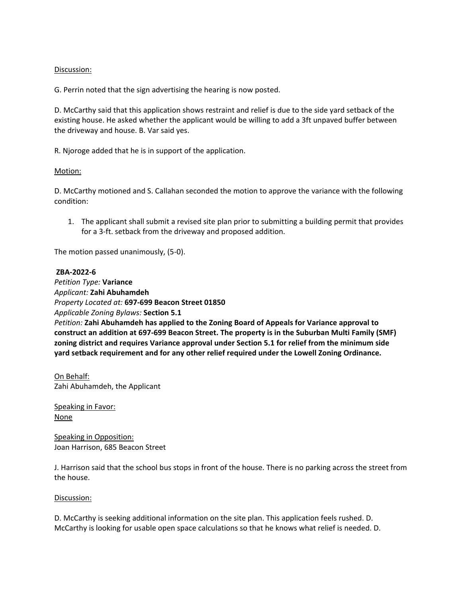## Discussion:

G. Perrin noted that the sign advertising the hearing is now posted.

D. McCarthy said that this application shows restraint and relief is due to the side yard setback of the existing house. He asked whether the applicant would be willing to add a 3ft unpaved buffer between the driveway and house. B. Var said yes.

R. Njoroge added that he is in support of the application.

#### Motion:

D. McCarthy motioned and S. Callahan seconded the motion to approve the variance with the following condition:

1. The applicant shall submit a revised site plan prior to submitting a building permit that provides for a 3-ft. setback from the driveway and proposed addition.

The motion passed unanimously, (5-0).

# **ZBA-2022-6**

*Petition Type:* **Variance** *Applicant:* **Zahi Abuhamdeh** *Property Located at:* **697-699 Beacon Street 01850** *Applicable Zoning Bylaws:* **Section 5.1** *Petition:* **Zahi Abuhamdeh has applied to the Zoning Board of Appeals for Variance approval to construct an addition at 697-699 Beacon Street. The property is in the Suburban Multi Family (SMF) zoning district and requires Variance approval under Section 5.1 for relief from the minimum side yard setback requirement and for any other relief required under the Lowell Zoning Ordinance.**

On Behalf: Zahi Abuhamdeh, the Applicant

Speaking in Favor: None

Speaking in Opposition: Joan Harrison, 685 Beacon Street

J. Harrison said that the school bus stops in front of the house. There is no parking across the street from the house.

#### Discussion:

D. McCarthy is seeking additional information on the site plan. This application feels rushed. D. McCarthy is looking for usable open space calculations so that he knows what relief is needed. D.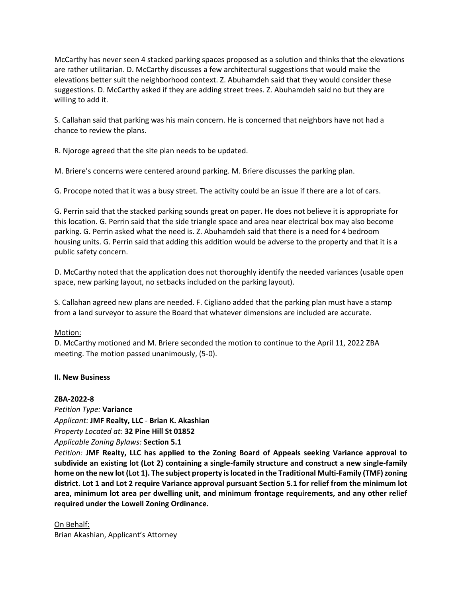McCarthy has never seen 4 stacked parking spaces proposed as a solution and thinks that the elevations are rather utilitarian. D. McCarthy discusses a few architectural suggestions that would make the elevations better suit the neighborhood context. Z. Abuhamdeh said that they would consider these suggestions. D. McCarthy asked if they are adding street trees. Z. Abuhamdeh said no but they are willing to add it.

S. Callahan said that parking was his main concern. He is concerned that neighbors have not had a chance to review the plans.

R. Njoroge agreed that the site plan needs to be updated.

M. Briere's concerns were centered around parking. M. Briere discusses the parking plan.

G. Procope noted that it was a busy street. The activity could be an issue if there are a lot of cars.

G. Perrin said that the stacked parking sounds great on paper. He does not believe it is appropriate for this location. G. Perrin said that the side triangle space and area near electrical box may also become parking. G. Perrin asked what the need is. Z. Abuhamdeh said that there is a need for 4 bedroom housing units. G. Perrin said that adding this addition would be adverse to the property and that it is a public safety concern.

D. McCarthy noted that the application does not thoroughly identify the needed variances (usable open space, new parking layout, no setbacks included on the parking layout).

S. Callahan agreed new plans are needed. F. Cigliano added that the parking plan must have a stamp from a land surveyor to assure the Board that whatever dimensions are included are accurate.

#### Motion:

D. McCarthy motioned and M. Briere seconded the motion to continue to the April 11, 2022 ZBA meeting. The motion passed unanimously, (5-0).

#### **II. New Business**

# **ZBA-2022-8**

*Petition Type:* **Variance** *Applicant:* **JMF Realty, LLC** - **Brian K. Akashian** *Property Located at:* **32 Pine Hill St 01852** *Applicable Zoning Bylaws:* **Section 5.1** 

*Petition:* **JMF Realty, LLC has applied to the Zoning Board of Appeals seeking Variance approval to subdivide an existing lot (Lot 2) containing a single-family structure and construct a new single-family home on the new lot (Lot 1). The subject property is located in the Traditional Multi-Family (TMF) zoning district. Lot 1 and Lot 2 require Variance approval pursuant Section 5.1 for relief from the minimum lot area, minimum lot area per dwelling unit, and minimum frontage requirements, and any other relief required under the Lowell Zoning Ordinance.**

On Behalf: Brian Akashian, Applicant's Attorney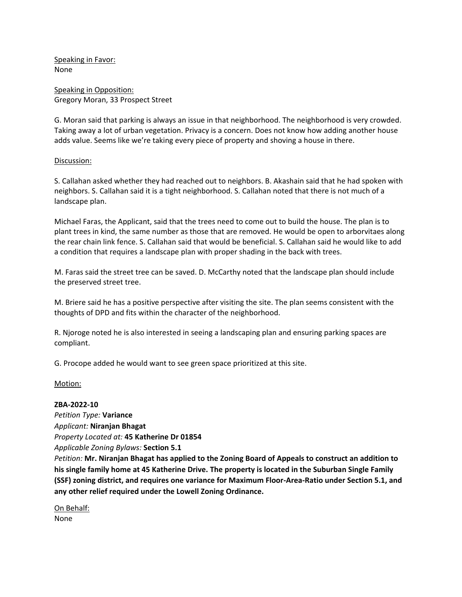Speaking in Favor: None

Speaking in Opposition: Gregory Moran, 33 Prospect Street

G. Moran said that parking is always an issue in that neighborhood. The neighborhood is very crowded. Taking away a lot of urban vegetation. Privacy is a concern. Does not know how adding another house adds value. Seems like we're taking every piece of property and shoving a house in there.

#### Discussion:

S. Callahan asked whether they had reached out to neighbors. B. Akashain said that he had spoken with neighbors. S. Callahan said it is a tight neighborhood. S. Callahan noted that there is not much of a landscape plan.

Michael Faras, the Applicant, said that the trees need to come out to build the house. The plan is to plant trees in kind, the same number as those that are removed. He would be open to arborvitaes along the rear chain link fence. S. Callahan said that would be beneficial. S. Callahan said he would like to add a condition that requires a landscape plan with proper shading in the back with trees.

M. Faras said the street tree can be saved. D. McCarthy noted that the landscape plan should include the preserved street tree.

M. Briere said he has a positive perspective after visiting the site. The plan seems consistent with the thoughts of DPD and fits within the character of the neighborhood.

R. Njoroge noted he is also interested in seeing a landscaping plan and ensuring parking spaces are compliant.

G. Procope added he would want to see green space prioritized at this site.

#### Motion:

#### **ZBA-2022-10**

*Petition Type:* **Variance** *Applicant:* **Niranjan Bhagat** *Property Located at:* **45 Katherine Dr 01854** *Applicable Zoning Bylaws:* **Section 5.1**

*Petition:* **Mr. Niranjan Bhagat has applied to the Zoning Board of Appeals to construct an addition to his single family home at 45 Katherine Drive. The property is located in the Suburban Single Family (SSF) zoning district, and requires one variance for Maximum Floor-Area-Ratio under Section 5.1, and any other relief required under the Lowell Zoning Ordinance.**

On Behalf: None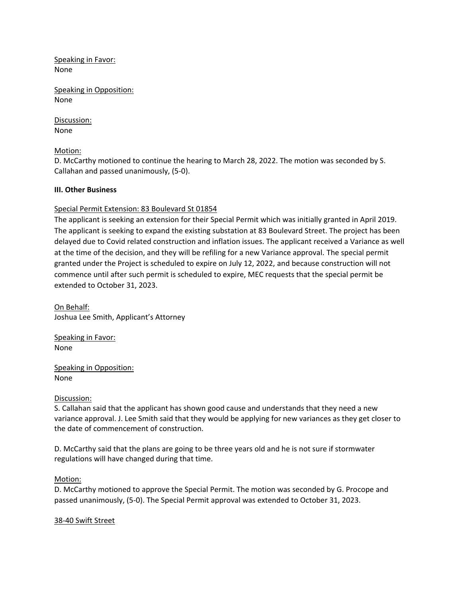Speaking in Favor: None

Speaking in Opposition: None

Discussion: None

Motion:

D. McCarthy motioned to continue the hearing to March 28, 2022. The motion was seconded by S. Callahan and passed unanimously, (5-0).

# **III. Other Business**

# Special Permit Extension: 83 Boulevard St 01854

The applicant is seeking an extension for their Special Permit which was initially granted in April 2019. The applicant is seeking to expand the existing substation at 83 Boulevard Street. The project has been delayed due to Covid related construction and inflation issues. The applicant received a Variance as well at the time of the decision, and they will be refiling for a new Variance approval. The special permit granted under the Project is scheduled to expire on July 12, 2022, and because construction will not commence until after such permit is scheduled to expire, MEC requests that the special permit be extended to October 31, 2023.

On Behalf: Joshua Lee Smith, Applicant's Attorney

Speaking in Favor: None

Speaking in Opposition: None

Discussion:

S. Callahan said that the applicant has shown good cause and understands that they need a new variance approval. J. Lee Smith said that they would be applying for new variances as they get closer to the date of commencement of construction.

D. McCarthy said that the plans are going to be three years old and he is not sure if stormwater regulations will have changed during that time.

#### Motion:

D. McCarthy motioned to approve the Special Permit. The motion was seconded by G. Procope and passed unanimously, (5-0). The Special Permit approval was extended to October 31, 2023.

#### 38-40 Swift Street